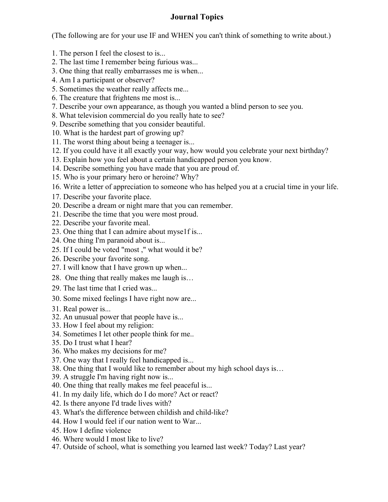## **Journal Topics**

(The following are for your use IF and WHEN you can't think of something to write about.)

- 1. The person I feel the closest to is...
- 2. The last time I remember being furious was...
- 3. One thing that really embarrasses me is when...
- 4. Am I a participant or observer?
- 5. Sometimes the weather really affects me...
- 6. The creature that frightens me most is...
- 7. Describe your own appearance, as though you wanted a blind person to see you.
- 8. What television commercial do you really hate to see?
- 9. Describe something that you consider beautiful.
- 10. What is the hardest part of growing up?
- 11. The worst thing about being a teenager is...
- 12. If you could have it all exactly your way, how would you celebrate your next birthday?
- 13. Explain how you feel about a certain handicapped person you know.
- 14. Describe something you have made that you are proud of.
- 15. Who is your primary hero or heroine? Why?
- 16. Write a letter of appreciation to someone who has helped you at a crucial time in your life.
- 17. Describe your favorite place.
- 20. Describe a dream or night mare that you can remember.
- 21. Describe the time that you were most proud.
- 22. Describe your favorite meal.
- 23. One thing that I can admire about myse1f is...
- 24. One thing I'm paranoid about is...
- 25. If I could be voted "most ," what would it be?
- 26. Describe your favorite song.
- 27. I will know that I have grown up when...
- 28. One thing that really makes me laugh is…
- 29. The last time that I cried was...
- 30. Some mixed feelings I have right now are...
- 31. Real power is...
- 32. An unusual power that people have is...
- 33. How I feel about my religion:
- 34. Sometimes I let other people think for me..
- 35. Do I trust what I hear?
- 36. Who makes my decisions for me?
- 37. One way that I really feel handicapped is...
- 38. One thing that I would like to remember about my high school days is…
- 39. A struggle I'm having right now is...
- 40. One thing that really makes me feel peaceful is...
- 41. In my daily life, which do I do more? Act or react?
- 42. Is there anyone I'd trade lives with?
- 43. What's the difference between childish and child-like?
- 44. How I would feel if our nation went to War...
- 45. How I define violence
- 46. Where would I most like to live?
- 47. Outside of school, what is something you learned last week? Today? Last year?